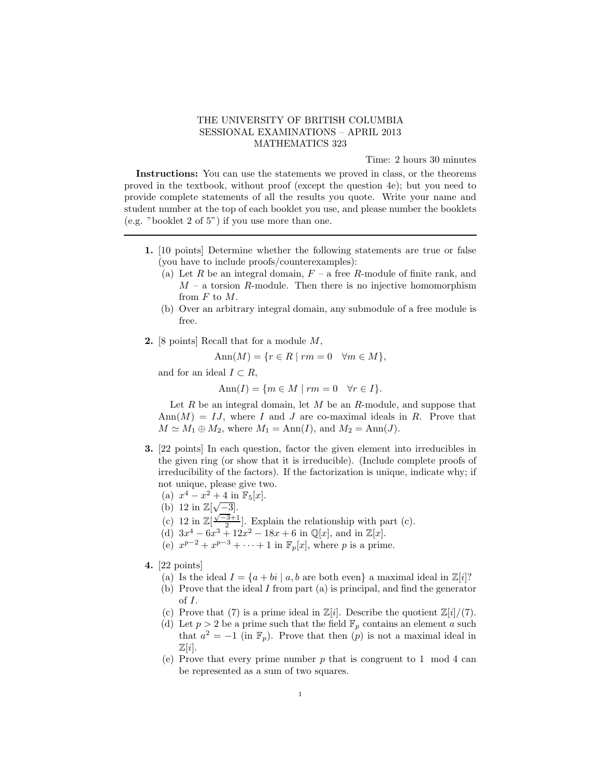## THE UNIVERSITY OF BRITISH COLUMBIA SESSIONAL EXAMINATIONS – APRIL 2013 MATHEMATICS 323

Time: 2 hours 30 minutes

Instructions: You can use the statements we proved in class, or the theorems proved in the textbook, without proof (except the question 4e); but you need to provide complete statements of all the results you quote. Write your name and student number at the top of each booklet you use, and please number the booklets (e.g. "booklet 2 of 5") if you use more than one.

- 1. [10 points] Determine whether the following statements are true or false (you have to include proofs/counterexamples):
	- (a) Let R be an integral domain,  $F a$  free R-module of finite rank, and  $M - a$  torsion R-module. Then there is no injective homomorphism from  $F$  to  $M$ .
	- (b) Over an arbitrary integral domain, any submodule of a free module is free.
- 2. [8 points] Recall that for a module M,

$$
Ann(M) = \{ r \in R \mid rm = 0 \quad \forall m \in M \},
$$

and for an ideal  $I \subset R$ ,

$$
Ann(I) = \{ m \in M \mid rm = 0 \quad \forall r \in I \}.
$$

Let  $R$  be an integral domain, let  $M$  be an  $R$ -module, and suppose that  $\text{Ann}(M) = IJ$ , where I and J are co-maximal ideals in R. Prove that  $M \simeq M_1 \oplus M_2$ , where  $M_1 = \text{Ann}(I)$ , and  $M_2 = \text{Ann}(J)$ .

- 3. [22 points] In each question, factor the given element into irreducibles in the given ring (or show that it is irreducible). (Include complete proofs of irreducibility of the factors). If the factorization is unique, indicate why; if not unique, please give two.
	- (a)  $x^4 x^2 + 4$  in  $\mathbb{F}_5[x]$ .
	- (b) 12 in  $\mathbb{Z}[\sqrt{-3}].$
	- (c) 12 in  $\mathbb{Z}[\frac{\sqrt{-3}+1}{2}]$ . Explain the relationship with part (c).
	- (d)  $3x^4 6x^3 + 12x^2 18x + 6$  in  $\mathbb{Q}[x]$ , and in  $\mathbb{Z}[x]$ .
	- (e)  $x^{p-2} + x^{p-3} + \cdots + 1$  in  $\mathbb{F}_p[x]$ , where p is a prime.
- 4. [22 points]
	- (a) Is the ideal  $I = \{a + bi \mid a, b \text{ are both even}\}\$ a maximal ideal in  $\mathbb{Z}[i]$ ? (b) Prove that the ideal I from part (a) is principal, and find the generator
	- of I.
	- (c) Prove that (7) is a prime ideal in  $\mathbb{Z}[i]$ . Describe the quotient  $\mathbb{Z}[i]/(7)$ .
	- (d) Let  $p > 2$  be a prime such that the field  $\mathbb{F}_p$  contains an element a such that  $a^2 = -1$  (in  $\mathbb{F}_p$ ). Prove that then  $(p)$  is not a maximal ideal in  $\mathbb{Z}[i]$ .
	- (e) Prove that every prime number  $p$  that is congruent to 1 mod 4 can be represented as a sum of two squares.